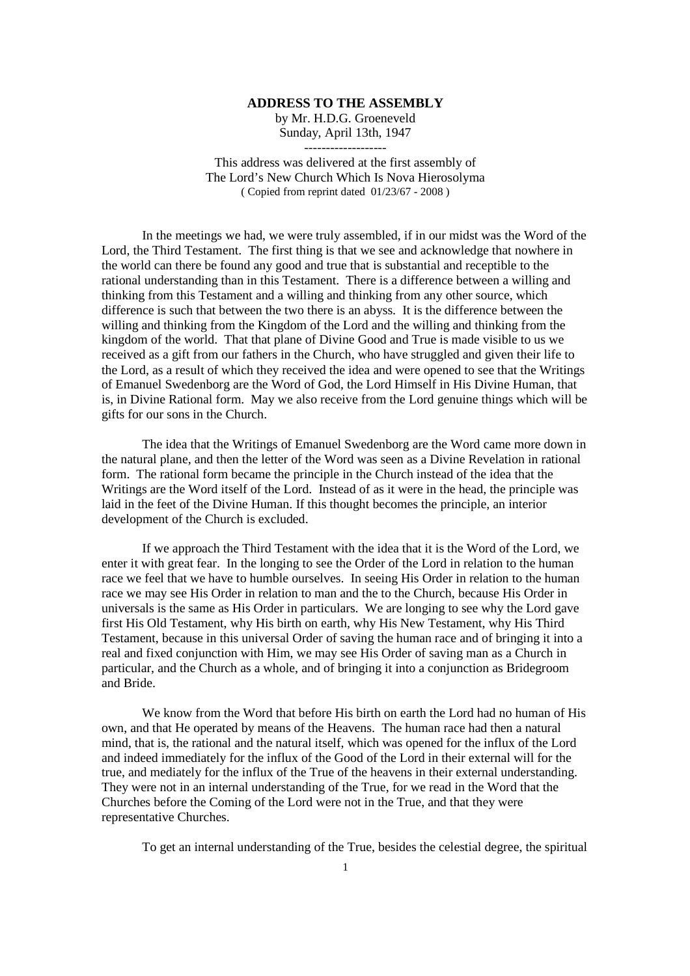## **ADDRESS TO THE ASSEMBLY**

by Mr. H.D.G. Groeneveld Sunday, April 13th, 1947 -------------------

This address was delivered at the first assembly of The Lord's New Church Which Is Nova Hierosolyma ( Copied from reprint dated 01/23/67 - 2008 )

In the meetings we had, we were truly assembled, if in our midst was the Word of the Lord, the Third Testament. The first thing is that we see and acknowledge that nowhere in the world can there be found any good and true that is substantial and receptible to the rational understanding than in this Testament. There is a difference between a willing and thinking from this Testament and a willing and thinking from any other source, which difference is such that between the two there is an abyss. It is the difference between the willing and thinking from the Kingdom of the Lord and the willing and thinking from the kingdom of the world. That that plane of Divine Good and True is made visible to us we received as a gift from our fathers in the Church, who have struggled and given their life to the Lord, as a result of which they received the idea and were opened to see that the Writings of Emanuel Swedenborg are the Word of God, the Lord Himself in His Divine Human, that is, in Divine Rational form. May we also receive from the Lord genuine things which will be gifts for our sons in the Church.

The idea that the Writings of Emanuel Swedenborg are the Word came more down in the natural plane, and then the letter of the Word was seen as a Divine Revelation in rational form. The rational form became the principle in the Church instead of the idea that the Writings are the Word itself of the Lord. Instead of as it were in the head, the principle was laid in the feet of the Divine Human. If this thought becomes the principle, an interior development of the Church is excluded.

If we approach the Third Testament with the idea that it is the Word of the Lord, we enter it with great fear. In the longing to see the Order of the Lord in relation to the human race we feel that we have to humble ourselves. In seeing His Order in relation to the human race we may see His Order in relation to man and the to the Church, because His Order in universals is the same as His Order in particulars. We are longing to see why the Lord gave first His Old Testament, why His birth on earth, why His New Testament, why His Third Testament, because in this universal Order of saving the human race and of bringing it into a real and fixed conjunction with Him, we may see His Order of saving man as a Church in particular, and the Church as a whole, and of bringing it into a conjunction as Bridegroom and Bride.

We know from the Word that before His birth on earth the Lord had no human of His own, and that He operated by means of the Heavens. The human race had then a natural mind, that is, the rational and the natural itself, which was opened for the influx of the Lord and indeed immediately for the influx of the Good of the Lord in their external will for the true, and mediately for the influx of the True of the heavens in their external understanding. They were not in an internal understanding of the True, for we read in the Word that the Churches before the Coming of the Lord were not in the True, and that they were representative Churches.

To get an internal understanding of the True, besides the celestial degree, the spiritual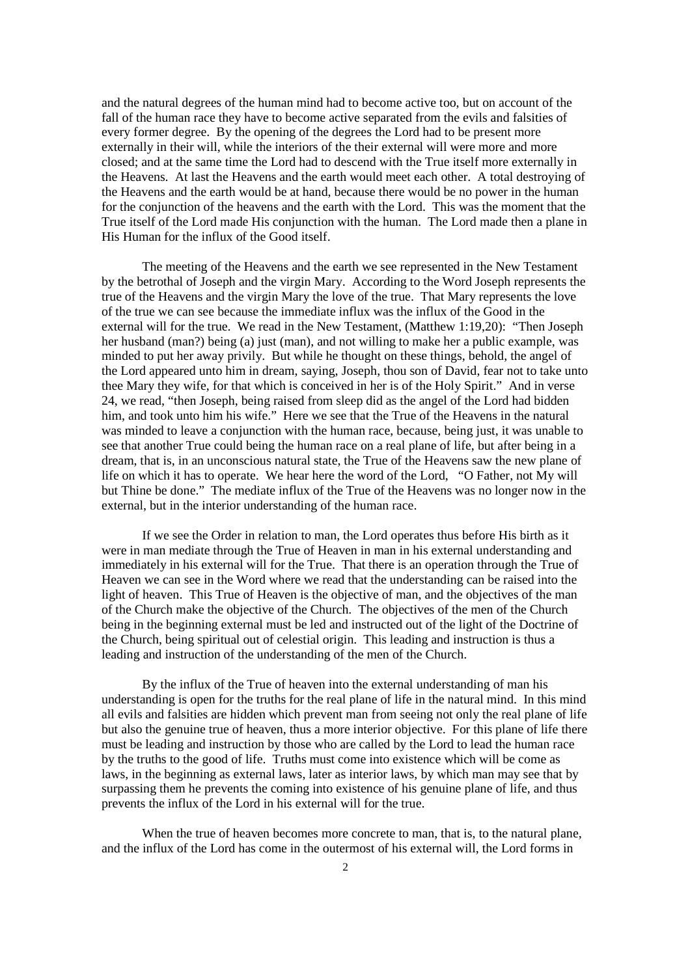and the natural degrees of the human mind had to become active too, but on account of the fall of the human race they have to become active separated from the evils and falsities of every former degree. By the opening of the degrees the Lord had to be present more externally in their will, while the interiors of the their external will were more and more closed; and at the same time the Lord had to descend with the True itself more externally in the Heavens. At last the Heavens and the earth would meet each other. A total destroying of the Heavens and the earth would be at hand, because there would be no power in the human for the conjunction of the heavens and the earth with the Lord. This was the moment that the True itself of the Lord made His conjunction with the human. The Lord made then a plane in His Human for the influx of the Good itself.

The meeting of the Heavens and the earth we see represented in the New Testament by the betrothal of Joseph and the virgin Mary. According to the Word Joseph represents the true of the Heavens and the virgin Mary the love of the true. That Mary represents the love of the true we can see because the immediate influx was the influx of the Good in the external will for the true. We read in the New Testament, (Matthew 1:19,20): "Then Joseph her husband (man?) being (a) just (man), and not willing to make her a public example, was minded to put her away privily. But while he thought on these things, behold, the angel of the Lord appeared unto him in dream, saying, Joseph, thou son of David, fear not to take unto thee Mary they wife, for that which is conceived in her is of the Holy Spirit." And in verse 24, we read, "then Joseph, being raised from sleep did as the angel of the Lord had bidden him, and took unto him his wife." Here we see that the True of the Heavens in the natural was minded to leave a conjunction with the human race, because, being just, it was unable to see that another True could being the human race on a real plane of life, but after being in a dream, that is, in an unconscious natural state, the True of the Heavens saw the new plane of life on which it has to operate. We hear here the word of the Lord, "O Father, not My will but Thine be done." The mediate influx of the True of the Heavens was no longer now in the external, but in the interior understanding of the human race.

If we see the Order in relation to man, the Lord operates thus before His birth as it were in man mediate through the True of Heaven in man in his external understanding and immediately in his external will for the True. That there is an operation through the True of Heaven we can see in the Word where we read that the understanding can be raised into the light of heaven. This True of Heaven is the objective of man, and the objectives of the man of the Church make the objective of the Church. The objectives of the men of the Church being in the beginning external must be led and instructed out of the light of the Doctrine of the Church, being spiritual out of celestial origin. This leading and instruction is thus a leading and instruction of the understanding of the men of the Church.

By the influx of the True of heaven into the external understanding of man his understanding is open for the truths for the real plane of life in the natural mind. In this mind all evils and falsities are hidden which prevent man from seeing not only the real plane of life but also the genuine true of heaven, thus a more interior objective. For this plane of life there must be leading and instruction by those who are called by the Lord to lead the human race by the truths to the good of life. Truths must come into existence which will be come as laws, in the beginning as external laws, later as interior laws, by which man may see that by surpassing them he prevents the coming into existence of his genuine plane of life, and thus prevents the influx of the Lord in his external will for the true.

When the true of heaven becomes more concrete to man, that is, to the natural plane, and the influx of the Lord has come in the outermost of his external will, the Lord forms in